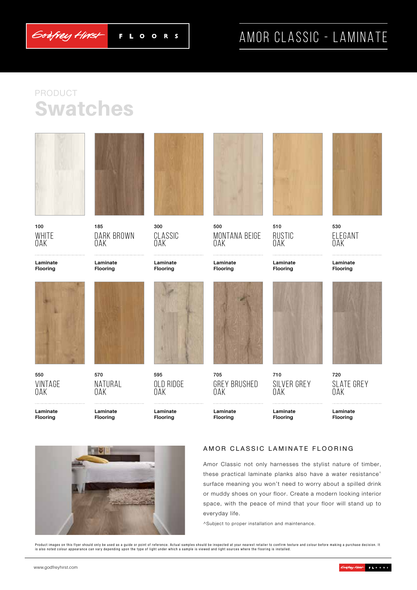

F L O  $\bullet$ R<sub>S</sub>

# AMOR CLASSIC - LAMINATE

## Swatches PRODUCT



100 WHITE Oak

**Laminate Flooring**



550 Vintage Oak





185 Dark Brown Oak

**Laminate Flooring**



570 Natural Oak

**Laminate Flooring**



**Laminate** 

300 Classic Oak

595 OLD RIDGE Oak

**Laminate Flooring**



500 Montana Beige Oak

**Laminate Flooring**



705 Grey Brushed Oak

**Laminate Flooring**



510 **RUSTIC DAK** 

**Laminate Flooring**



530 Elegant Oak

**Laminate Flooring**



720 SI ATF GREY Oak

**Laminate Flooring**



#### AMOR CLASSIC LAMINATE FLOORING

710

Oak

**Laminate Flooring**

SII VFR GREY

Amor Classic not only harnesses the stylist nature of timber, these practical laminate planks also have a water resistance^ surface meaning you won't need to worry about a spilled drink or muddy shoes on your floor. Create a modern looking interior space, with the peace of mind that your floor will stand up to everyday life.

^Subject to proper installation and maintenance.

Product images on this flyer should only be used as a guide or point of reference. Actual samples should be inspected at your nearest retailer to confirm texture and colour before making a purchase decision. It<br>is also not